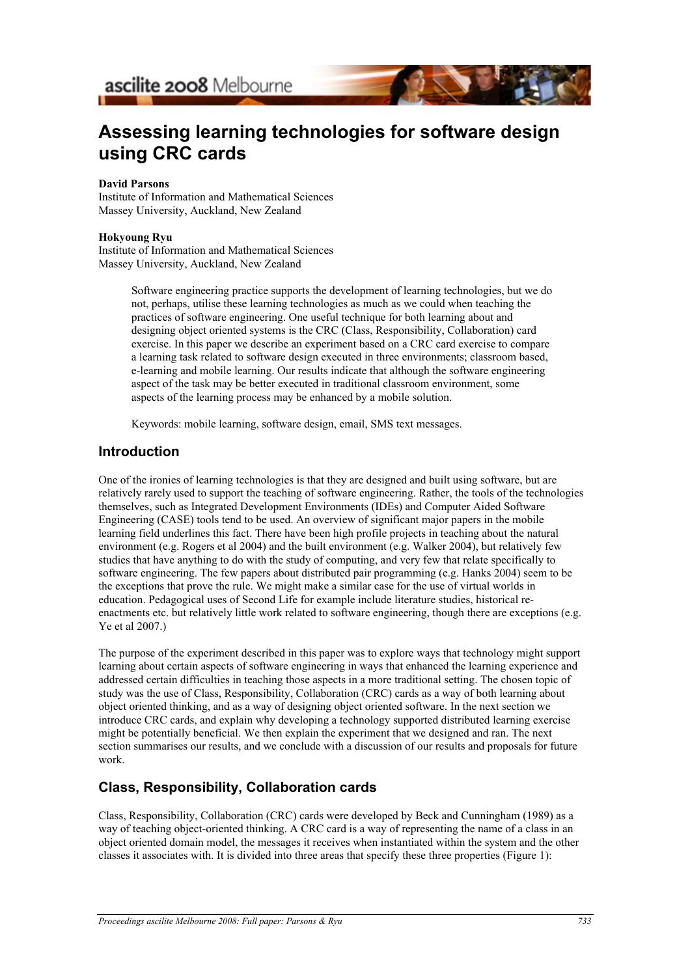ascilite 2008 Melbourne

# **Assessing learning technologies for software design using CRC cards**

#### **David Parsons**

Institute of Information and Mathematical Sciences Massey University, Auckland, New Zealand

#### **Hokyoung Ryu**

Institute of Information and Mathematical Sciences Massey University, Auckland, New Zealand

> Software engineering practice supports the development of learning technologies, but we do not, perhaps, utilise these learning technologies as much as we could when teaching the practices of software engineering. One useful technique for both learning about and designing object oriented systems is the CRC (Class, Responsibility, Collaboration) card exercise. In this paper we describe an experiment based on a CRC card exercise to compare a learning task related to software design executed in three environments; classroom based, e-learning and mobile learning. Our results indicate that although the software engineering aspect of the task may be better executed in traditional classroom environment, some aspects of the learning process may be enhanced by a mobile solution.

Keywords: mobile learning, software design, email, SMS text messages.

#### **Introduction**

One of the ironies of learning technologies is that they are designed and built using software, but are relatively rarely used to support the teaching of software engineering. Rather, the tools of the technologies themselves, such as Integrated Development Environments (IDEs) and Computer Aided Software Engineering (CASE) tools tend to be used. An overview of significant major papers in the mobile learning field underlines this fact. There have been high profile projects in teaching about the natural environment (e.g. Rogers et al 2004) and the built environment (e.g. Walker 2004), but relatively few studies that have anything to do with the study of computing, and very few that relate specifically to software engineering. The few papers about distributed pair programming (e.g. Hanks 2004) seem to be the exceptions that prove the rule. We might make a similar case for the use of virtual worlds in education. Pedagogical uses of Second Life for example include literature studies, historical reenactments etc. but relatively little work related to software engineering, though there are exceptions (e.g. Ye et al 2007.)

The purpose of the experiment described in this paper was to explore ways that technology might support learning about certain aspects of software engineering in ways that enhanced the learning experience and addressed certain difficulties in teaching those aspects in a more traditional setting. The chosen topic of study was the use of Class, Responsibility, Collaboration (CRC) cards as a way of both learning about object oriented thinking, and as a way of designing object oriented software. In the next section we introduce CRC cards, and explain why developing a technology supported distributed learning exercise might be potentially beneficial. We then explain the experiment that we designed and ran. The next section summarises our results, and we conclude with a discussion of our results and proposals for future work.

## **Class, Responsibility, Collaboration cards**

Class, Responsibility, Collaboration (CRC) cards were developed by Beck and Cunningham (1989) as a way of teaching object-oriented thinking. A CRC card is a way of representing the name of a class in an object oriented domain model, the messages it receives when instantiated within the system and the other classes it associates with. It is divided into three areas that specify these three properties (Figure 1):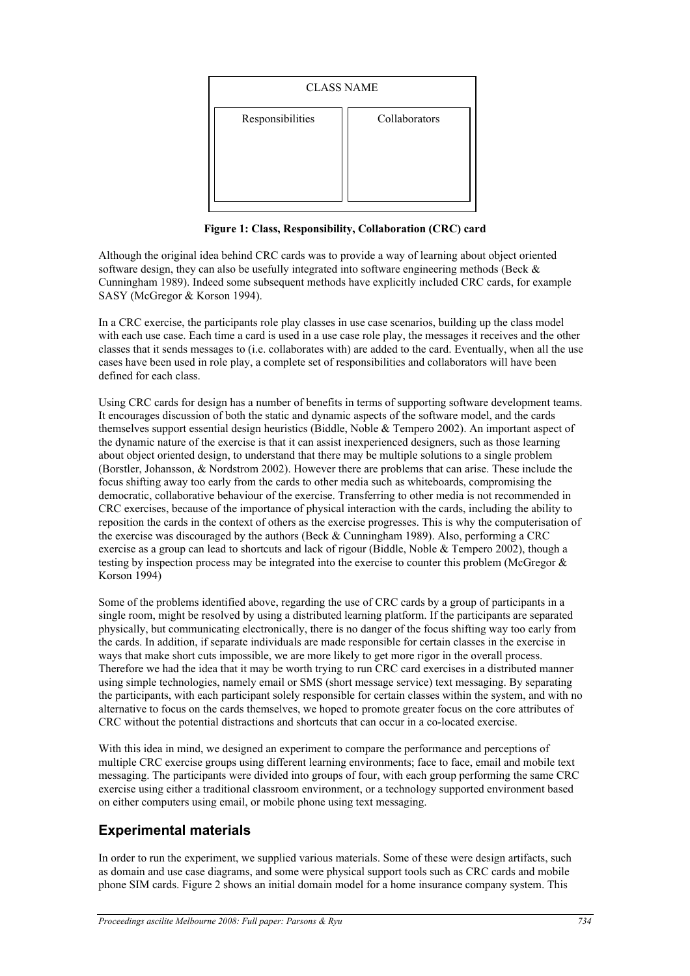| <b>CLASS NAME</b> |               |  |  |  |  |  |  |  |  |
|-------------------|---------------|--|--|--|--|--|--|--|--|
| Responsibilities  | Collaborators |  |  |  |  |  |  |  |  |

**Figure 1: Class, Responsibility, Collaboration (CRC) card**

Although the original idea behind CRC cards was to provide a way of learning about object oriented software design, they can also be usefully integrated into software engineering methods (Beck & Cunningham 1989). Indeed some subsequent methods have explicitly included CRC cards, for example SASY (McGregor & Korson 1994).

In a CRC exercise, the participants role play classes in use case scenarios, building up the class model with each use case. Each time a card is used in a use case role play, the messages it receives and the other classes that it sends messages to (i.e. collaborates with) are added to the card. Eventually, when all the use cases have been used in role play, a complete set of responsibilities and collaborators will have been defined for each class.

Using CRC cards for design has a number of benefits in terms of supporting software development teams. It encourages discussion of both the static and dynamic aspects of the software model, and the cards themselves support essential design heuristics (Biddle, Noble & Tempero 2002). An important aspect of the dynamic nature of the exercise is that it can assist inexperienced designers, such as those learning about object oriented design, to understand that there may be multiple solutions to a single problem (Borstler, Johansson, & Nordstrom 2002). However there are problems that can arise. These include the focus shifting away too early from the cards to other media such as whiteboards, compromising the democratic, collaborative behaviour of the exercise. Transferring to other media is not recommended in CRC exercises, because of the importance of physical interaction with the cards, including the ability to reposition the cards in the context of others as the exercise progresses. This is why the computerisation of the exercise was discouraged by the authors (Beck & Cunningham 1989). Also, performing a CRC exercise as a group can lead to shortcuts and lack of rigour (Biddle, Noble & Tempero 2002), though a testing by inspection process may be integrated into the exercise to counter this problem (McGregor & Korson 1994)

Some of the problems identified above, regarding the use of CRC cards by a group of participants in a single room, might be resolved by using a distributed learning platform. If the participants are separated physically, but communicating electronically, there is no danger of the focus shifting way too early from the cards. In addition, if separate individuals are made responsible for certain classes in the exercise in ways that make short cuts impossible, we are more likely to get more rigor in the overall process. Therefore we had the idea that it may be worth trying to run CRC card exercises in a distributed manner using simple technologies, namely email or SMS (short message service) text messaging. By separating the participants, with each participant solely responsible for certain classes within the system, and with no alternative to focus on the cards themselves, we hoped to promote greater focus on the core attributes of CRC without the potential distractions and shortcuts that can occur in a co-located exercise.

With this idea in mind, we designed an experiment to compare the performance and perceptions of multiple CRC exercise groups using different learning environments; face to face, email and mobile text messaging. The participants were divided into groups of four, with each group performing the same CRC exercise using either a traditional classroom environment, or a technology supported environment based on either computers using email, or mobile phone using text messaging.

# **Experimental materials**

In order to run the experiment, we supplied various materials. Some of these were design artifacts, such as domain and use case diagrams, and some were physical support tools such as CRC cards and mobile phone SIM cards. Figure 2 shows an initial domain model for a home insurance company system. This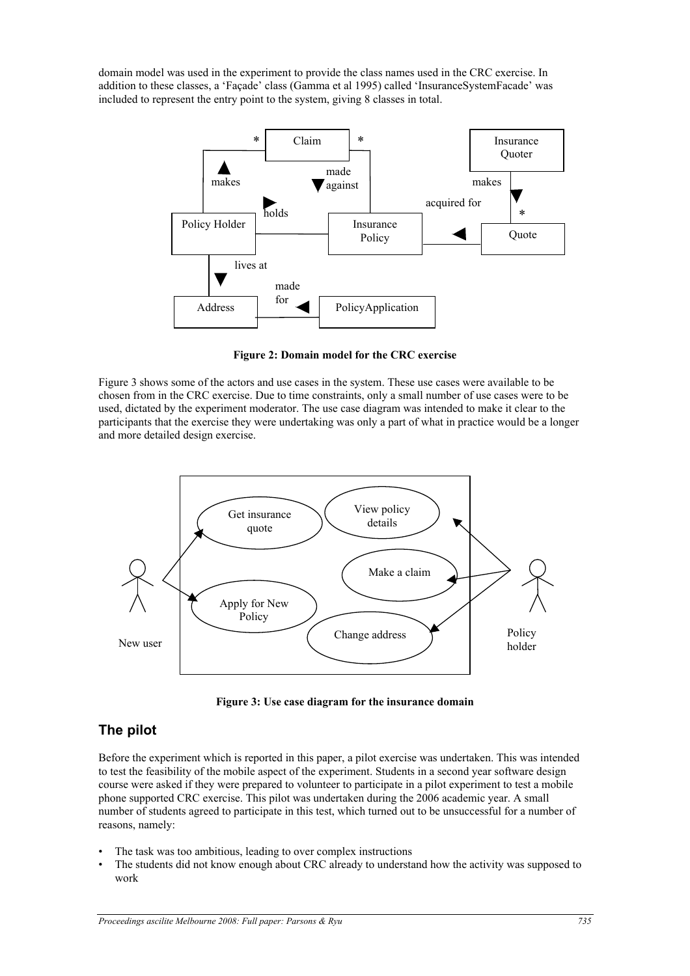domain model was used in the experiment to provide the class names used in the CRC exercise. In addition to these classes, a 'Façade' class (Gamma et al 1995) called 'InsuranceSystemFacade' was included to represent the entry point to the system, giving 8 classes in total.



**Figure 2: Domain model for the CRC exercise**

Figure 3 shows some of the actors and use cases in the system. These use cases were available to be chosen from in the CRC exercise. Due to time constraints, only a small number of use cases were to be used, dictated by the experiment moderator. The use case diagram was intended to make it clear to the participants that the exercise they were undertaking was only a part of what in practice would be a longer and more detailed design exercise.



**Figure 3: Use case diagram for the insurance domain**

## **The pilot**

Before the experiment which is reported in this paper, a pilot exercise was undertaken. This was intended to test the feasibility of the mobile aspect of the experiment. Students in a second year software design course were asked if they were prepared to volunteer to participate in a pilot experiment to test a mobile phone supported CRC exercise. This pilot was undertaken during the 2006 academic year. A small number of students agreed to participate in this test, which turned out to be unsuccessful for a number of reasons, namely:

- The task was too ambitious, leading to over complex instructions
- The students did not know enough about CRC already to understand how the activity was supposed to work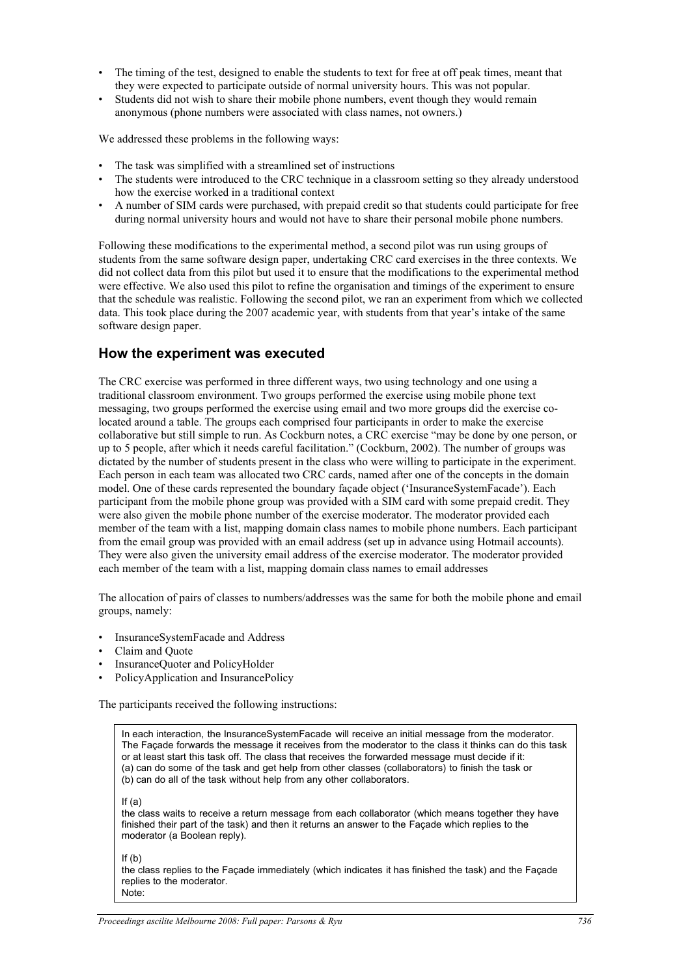- The timing of the test, designed to enable the students to text for free at off peak times, meant that they were expected to participate outside of normal university hours. This was not popular.
- Students did not wish to share their mobile phone numbers, event though they would remain anonymous (phone numbers were associated with class names, not owners.)

We addressed these problems in the following ways:

- The task was simplified with a streamlined set of instructions
- The students were introduced to the CRC technique in a classroom setting so they already understood how the exercise worked in a traditional context
- A number of SIM cards were purchased, with prepaid credit so that students could participate for free during normal university hours and would not have to share their personal mobile phone numbers.

Following these modifications to the experimental method, a second pilot was run using groups of students from the same software design paper, undertaking CRC card exercises in the three contexts. We did not collect data from this pilot but used it to ensure that the modifications to the experimental method were effective. We also used this pilot to refine the organisation and timings of the experiment to ensure that the schedule was realistic. Following the second pilot, we ran an experiment from which we collected data. This took place during the 2007 academic year, with students from that year's intake of the same software design paper.

#### **How the experiment was executed**

The CRC exercise was performed in three different ways, two using technology and one using a traditional classroom environment. Two groups performed the exercise using mobile phone text messaging, two groups performed the exercise using email and two more groups did the exercise colocated around a table. The groups each comprised four participants in order to make the exercise collaborative but still simple to run. As Cockburn notes, a CRC exercise "may be done by one person, or up to 5 people, after which it needs careful facilitation." (Cockburn, 2002). The number of groups was dictated by the number of students present in the class who were willing to participate in the experiment. Each person in each team was allocated two CRC cards, named after one of the concepts in the domain model. One of these cards represented the boundary façade object ('InsuranceSystemFacade'). Each participant from the mobile phone group was provided with a SIM card with some prepaid credit. They were also given the mobile phone number of the exercise moderator. The moderator provided each member of the team with a list, mapping domain class names to mobile phone numbers. Each participant from the email group was provided with an email address (set up in advance using Hotmail accounts). They were also given the university email address of the exercise moderator. The moderator provided each member of the team with a list, mapping domain class names to email addresses

The allocation of pairs of classes to numbers/addresses was the same for both the mobile phone and email groups, namely:

- InsuranceSystemFacade and Address
- Claim and Quote
- InsuranceQuoter and PolicyHolder
- PolicyApplication and InsurancePolicy

The participants received the following instructions:

In each interaction, the InsuranceSystemFacade will receive an initial message from the moderator. The Façade forwards the message it receives from the moderator to the class it thinks can do this task or at least start this task off. The class that receives the forwarded message must decide if it: (a) can do some of the task and get help from other classes (collaborators) to finish the task or (b) can do all of the task without help from any other collaborators.

If (a)

the class waits to receive a return message from each collaborator (which means together they have finished their part of the task) and then it returns an answer to the Façade which replies to the moderator (a Boolean reply).

If  $(h)$ 

the class replies to the Façade immediately (which indicates it has finished the task) and the Façade replies to the moderator. Note: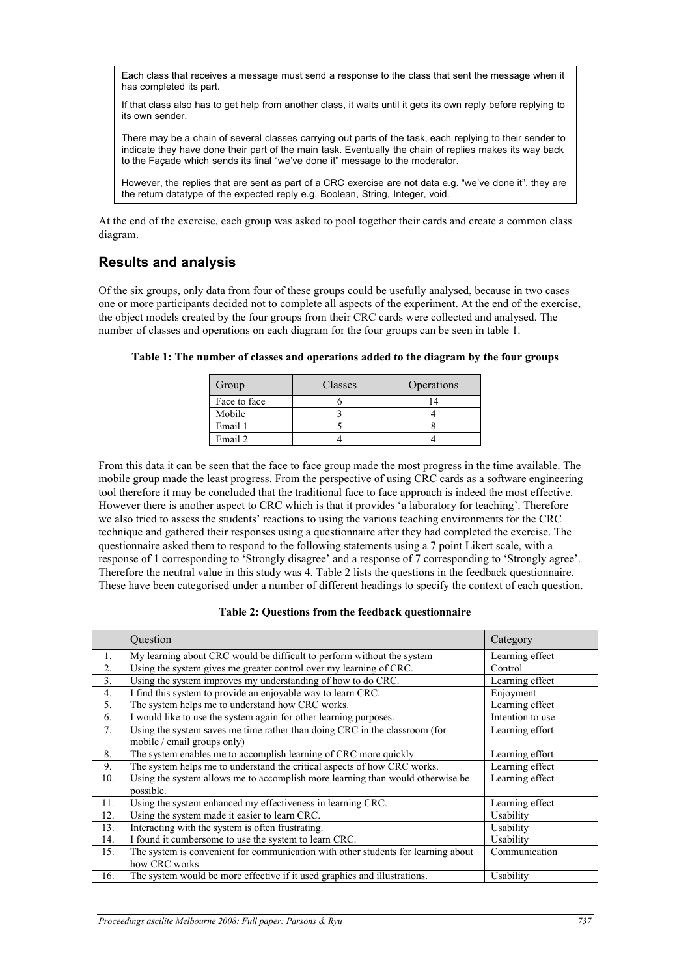Each class that receives a message must send a response to the class that sent the message when it has completed its part.

If that class also has to get help from another class, it waits until it gets its own reply before replying to its own sender.

There may be a chain of several classes carrying out parts of the task, each replying to their sender to indicate they have done their part of the main task. Eventually the chain of replies makes its way back to the Façade which sends its final "we've done it" message to the moderator.

However, the replies that are sent as part of a CRC exercise are not data e.g. "we've done it", they are the return datatype of the expected reply e.g. Boolean, String, Integer, void.

At the end of the exercise, each group was asked to pool together their cards and create a common class diagram.

### **Results and analysis**

Of the six groups, only data from four of these groups could be usefully analysed, because in two cases one or more participants decided not to complete all aspects of the experiment. At the end of the exercise, the object models created by the four groups from their CRC cards were collected and analysed. The number of classes and operations on each diagram for the four groups can be seen in table 1.

| Group        | Classes | Operations |
|--------------|---------|------------|
| Face to face |         |            |
| Mobile       |         |            |
| Email 1      |         |            |
| Email 2      |         |            |

**Table 1: The number of classes and operations added to the diagram by the four groups**

From this data it can be seen that the face to face group made the most progress in the time available. The mobile group made the least progress. From the perspective of using CRC cards as a software engineering tool therefore it may be concluded that the traditional face to face approach is indeed the most effective. However there is another aspect to CRC which is that it provides 'a laboratory for teaching'. Therefore we also tried to assess the students' reactions to using the various teaching environments for the CRC technique and gathered their responses using a questionnaire after they had completed the exercise. The questionnaire asked them to respond to the following statements using a 7 point Likert scale, with a response of 1 corresponding to 'Strongly disagree' and a response of 7 corresponding to 'Strongly agree'. Therefore the neutral value in this study was 4. Table 2 lists the questions in the feedback questionnaire. These have been categorised under a number of different headings to specify the context of each question.

| Table 2: Questions from the feedback questionnaire |  |  |
|----------------------------------------------------|--|--|
|----------------------------------------------------|--|--|

|     | Question                                                                                                  | Category         |
|-----|-----------------------------------------------------------------------------------------------------------|------------------|
| 1.  | My learning about CRC would be difficult to perform without the system                                    | Learning effect  |
| 2.  | Using the system gives me greater control over my learning of CRC.                                        | Control          |
| 3.  | Using the system improves my understanding of how to do CRC.                                              | Learning effect  |
| 4.  | I find this system to provide an enjoyable way to learn CRC.                                              | Enjoyment        |
| 5.  | The system helps me to understand how CRC works.                                                          | Learning effect  |
| 6.  | I would like to use the system again for other learning purposes.                                         | Intention to use |
| 7.  | Using the system saves me time rather than doing CRC in the classroom (for<br>mobile / email groups only) | Learning effort  |
| 8.  | The system enables me to accomplish learning of CRC more quickly                                          | Learning effort  |
| 9.  | The system helps me to understand the critical aspects of how CRC works.                                  | Learning effect  |
| 10. | Using the system allows me to accomplish more learning than would otherwise be<br>possible.               | Learning effect  |
| 11. | Using the system enhanced my effectiveness in learning CRC.                                               | Learning effect  |
| 12. | Using the system made it easier to learn CRC.                                                             | Usability        |
| 13. | Interacting with the system is often frustrating.                                                         | Usability        |
| 14. | I found it cumbersome to use the system to learn CRC.                                                     | Usability        |
| 15. | The system is convenient for communication with other students for learning about<br>how CRC works        | Communication    |
| 16. | The system would be more effective if it used graphics and illustrations.                                 | Usability        |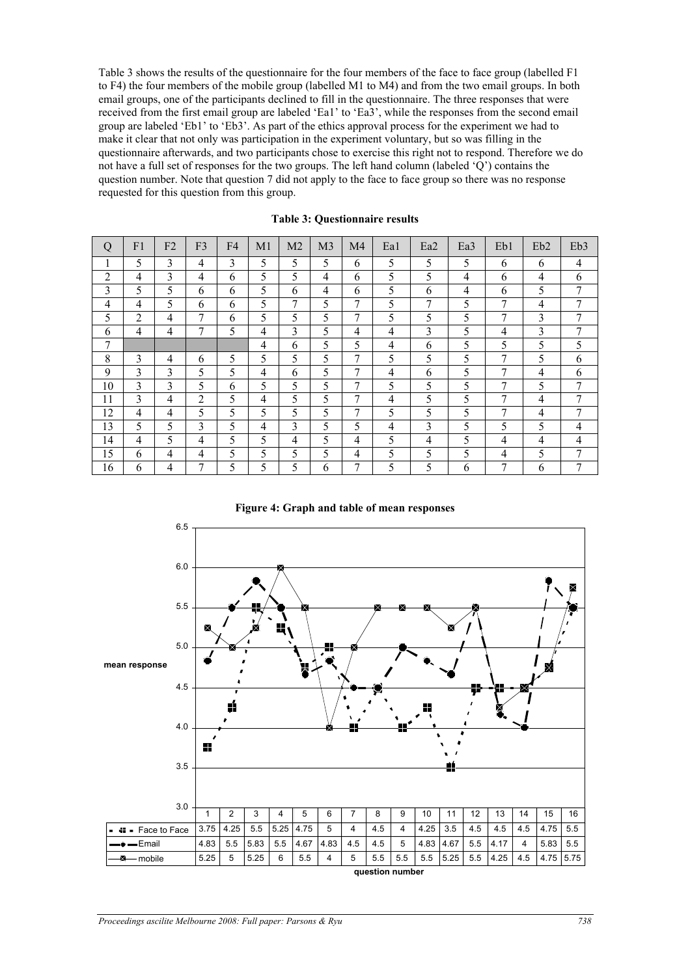Table 3 shows the results of the questionnaire for the four members of the face to face group (labelled F1 to F4) the four members of the mobile group (labelled M1 to M4) and from the two email groups. In both email groups, one of the participants declined to fill in the questionnaire. The three responses that were received from the first email group are labeled 'Ea1' to 'Ea3', while the responses from the second email group are labeled 'Eb1' to 'Eb3'. As part of the ethics approval process for the experiment we had to make it clear that not only was participation in the experiment voluntary, but so was filling in the questionnaire afterwards, and two participants chose to exercise this right not to respond. Therefore we do not have a full set of responses for the two groups. The left hand column (labeled 'Q') contains the question number. Note that question 7 did not apply to the face to face group so there was no response requested for this question from this group.

| Q              | F <sub>1</sub> | F <sub>2</sub> | F <sub>3</sub> | F <sub>4</sub> | M <sub>1</sub> | M <sub>2</sub> | M <sub>3</sub> | M <sub>4</sub> | Ea1 | Ea <sub>2</sub> | Ea <sub>3</sub> | Eb1 | Eb <sub>2</sub> | Eb <sub>3</sub> |
|----------------|----------------|----------------|----------------|----------------|----------------|----------------|----------------|----------------|-----|-----------------|-----------------|-----|-----------------|-----------------|
|                | 5              | 3              | 4              | 3              | 5              | 5              | 5              | 6              | 5   | 5               | 5               | 6   | 6               | 4               |
| $\overline{2}$ | 4              | 3              | 4              | 6              | 5              | 5              | 4              | 6              | 5   | 5               | 4               | 6   | 4               | 6               |
| 3              | 5              | 5              | 6              | 6              | 5              | 6              | 4              | 6              | 5   | 6               | 4               | 6   | 5               | 7               |
| $\overline{4}$ | 4              | 5              | 6              | 6              | 5              | 7              | 5              | 7              | 5   | 7               | 5               | 7   | 4               | 7               |
| 5              | $\overline{2}$ | $\overline{4}$ | 7              | 6              | 5              | 5              | 5              | 7              | 5   | 5               | 5               | 7   | 3               | 7               |
| 6              | 4              | $\overline{4}$ | $\overline{7}$ | 5              | $\overline{4}$ | 3              | 5              | 4              | 4   | 3               | 5               | 4   | 3               | 7               |
| 7              |                |                |                |                | $\overline{4}$ | 6              | 5              | 5              | 4   | 6               | 5               | 5   | 5               | 5               |
| 8              | 3              | $\overline{4}$ | 6              | 5              | 5              | 5              | 5              | 7              | 5   | 5               | 5               | 7   | 5               | 6               |
| 9              | 3              | 3              | 5              | 5              | $\overline{4}$ | 6              | 5              | 7              | 4   | 6               | 5               | 7   | 4               | 6               |
| 10             | 3              | 3              | 5              | 6              | 5              | 5              | 5              | 7              | 5   | 5               | 5               | 7   | 5               | 7               |
| 11             | 3              | $\overline{4}$ | $\overline{2}$ | 5              | $\overline{4}$ | 5              | 5              | 7              | 4   | 5               | 5               | 7   | 4               | 7               |
| 12             | 4              | 4              | 5              | 5              | 5              | 5              | 5              | 7              | 5   | 5               | 5               | 7   | 4               |                 |
| 13             | 5              | 5              | 3              | 5              | 4              | 3              | 5              | 5              | 4   | 3               | 5               | 5   | 5               | 4               |
| 14             | 4              | 5              | 4              | 5              | 5              | 4              | 5              | 4              | 5   | $\overline{4}$  | 5               | 4   | $\overline{4}$  | 4               |
| 15             | 6              | $\overline{4}$ | 4              | 5              | 5              | 5              | 5              | 4              | 5   | 5               | 5               | 4   | 5               | 7               |
| 16             | 6              | 4              | 7              | 5              | 5              | 5              | 6              | 7              | 5   | 5               | 6               | 7   | 6               | 7               |

**Table 3: Questionnaire results**

**Figure 4: Graph and table of mean responses**

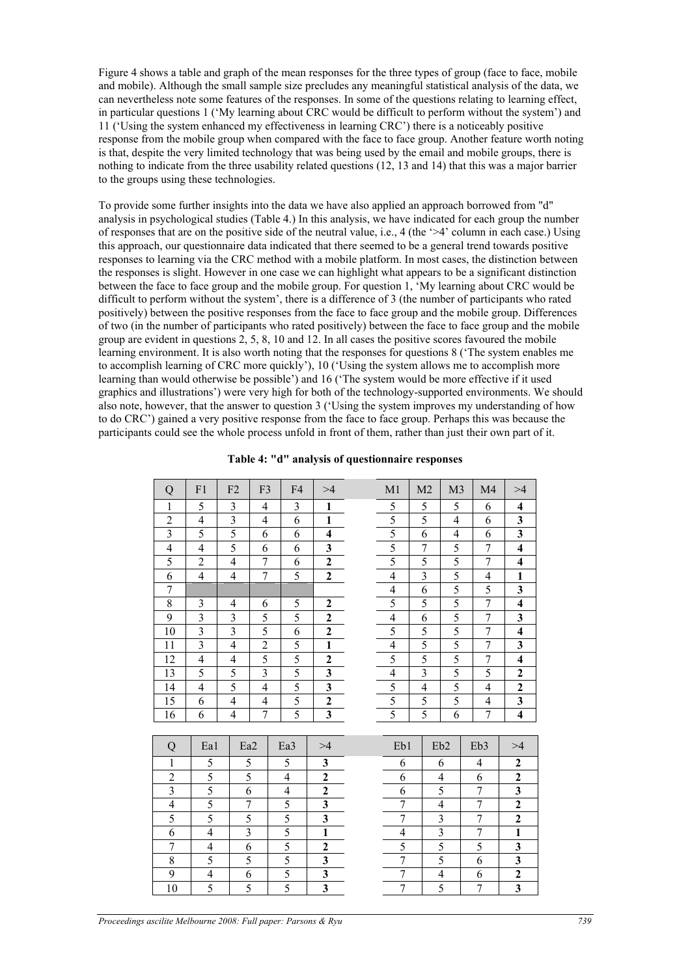Figure 4 shows a table and graph of the mean responses for the three types of group (face to face, mobile and mobile). Although the small sample size precludes any meaningful statistical analysis of the data, we can nevertheless note some features of the responses. In some of the questions relating to learning effect, in particular questions 1 ('My learning about CRC would be difficult to perform without the system') and 11 ('Using the system enhanced my effectiveness in learning CRC') there is a noticeably positive response from the mobile group when compared with the face to face group. Another feature worth noting is that, despite the very limited technology that was being used by the email and mobile groups, there is nothing to indicate from the three usability related questions (12, 13 and 14) that this was a major barrier to the groups using these technologies.

To provide some further insights into the data we have also applied an approach borrowed from "d" analysis in psychological studies (Table 4.) In this analysis, we have indicated for each group the number of responses that are on the positive side of the neutral value, i.e., 4 (the  $\geq 4$ ' column in each case.) Using this approach, our questionnaire data indicated that there seemed to be a general trend towards positive responses to learning via the CRC method with a mobile platform. In most cases, the distinction between the responses is slight. However in one case we can highlight what appears to be a significant distinction between the face to face group and the mobile group. For question 1, 'My learning about CRC would be difficult to perform without the system', there is a difference of 3 (the number of participants who rated positively) between the positive responses from the face to face group and the mobile group. Differences of two (in the number of participants who rated positively) between the face to face group and the mobile group are evident in questions  $2, 5, 8, 10$  and  $12$ . In all cases the positive scores favoured the mobile learning environment. It is also worth noting that the responses for questions 8 ('The system enables me to accomplish learning of CRC more quickly'), 10 ('Using the system allows me to accomplish more learning than would otherwise be possible') and 16 ('The system would be more effective if it used graphics and illustrations') were very high for both of the technology-supported environments. We should also note, however, that the answer to question 3 ('Using the system improves my understanding of how to do CRC') gained a very positive response from the face to face group. Perhaps this was because the participants could see the whole process unfold in front of them, rather than just their own part of it.

| Q                       | F1                       | F <sub>2</sub>           | F <sub>3</sub>          | F <sub>4</sub> | >4                      | M1             | M <sub>2</sub>          | M <sub>3</sub>          | M <sub>4</sub>   | >4                      |
|-------------------------|--------------------------|--------------------------|-------------------------|----------------|-------------------------|----------------|-------------------------|-------------------------|------------------|-------------------------|
| $\mathbf{1}$            | 5                        | 3                        | 4                       | $\mathfrak{Z}$ | $\mathbf{1}$            | 5              | 5                       | 5                       | 6                | $\overline{\mathbf{4}}$ |
| $\overline{2}$          | $\overline{\mathcal{A}}$ | $\overline{3}$           | $\overline{4}$          | 6              | 1                       | 5              | $\overline{5}$          | $\overline{4}$          | 6                | $\mathbf{3}$            |
| $\overline{3}$          | 5                        | 5                        | 6                       | 6              | $\overline{\mathbf{4}}$ | 5              | 6                       | $\overline{4}$          | 6                | $\overline{\mathbf{3}}$ |
| $\overline{4}$          | $\overline{\mathcal{L}}$ | 5                        | 6                       | 6              | $\mathbf{3}$            | 5              | $\boldsymbol{7}$        | 5                       | $\tau$           | $\overline{\mathbf{4}}$ |
| 5                       | $\boldsymbol{2}$         | $\overline{4}$           | $\overline{7}$          | 6              | $\overline{\mathbf{c}}$ | 5              | 5                       | 5                       | $\overline{7}$   | $\overline{\mathbf{4}}$ |
| 6                       | 4                        | $\overline{4}$           | $\overline{7}$          | 5              | $\mathbf{2}$            | $\overline{4}$ | $\overline{3}$          | 5                       | 4                | $\mathbf{1}$            |
| $\overline{7}$          |                          |                          |                         |                |                         | $\overline{4}$ | 6                       | 5                       | 5                | $\overline{\mathbf{3}}$ |
| $8\,$                   | 3                        | 4                        | 6                       | 5              | $\mathbf{2}$            | 5              | 5                       | 5                       | $\overline{7}$   | $\overline{\mathbf{4}}$ |
| 9                       | $\overline{3}$           | $\overline{\mathbf{3}}$  | 5                       | 5              | $\overline{2}$          | $\overline{4}$ | 6                       | $\overline{5}$          | $\overline{7}$   | $\overline{\mathbf{3}}$ |
| 10                      | $\overline{3}$           | $\overline{\mathbf{3}}$  | 5                       | 6              | $\overline{2}$          | $\overline{5}$ | 5                       | $\overline{5}$          | $\overline{7}$   | $\overline{\mathbf{4}}$ |
| 11                      | $\overline{3}$           | $\overline{\mathcal{L}}$ | $\overline{c}$          | 5              | $\mathbf{1}$            | $\overline{4}$ | 5                       | 5                       | $\overline{7}$   | $\mathbf{3}$            |
| 12                      | $\overline{4}$           | $\overline{4}$           | 5                       | 5              | $\mathbf{2}$            | 5              | 5                       | 5                       | $\overline{7}$   | $\overline{\mathbf{4}}$ |
| 13                      | 5                        | 5                        | $\overline{\mathbf{3}}$ | 5              | $\overline{\mathbf{3}}$ | $\overline{4}$ | $\overline{\mathbf{3}}$ | 5                       | 5                | $\overline{2}$          |
| 14                      | $\overline{4}$           | 5                        | $\overline{4}$          | 5              | $\overline{\mathbf{3}}$ | 5              | $\overline{4}$          | 5                       | $\overline{4}$   | $\overline{2}$          |
| 15                      | 6                        | $\overline{4}$           | $\overline{4}$          | 5              | $\overline{2}$          | 5              | 5                       | 5                       | 4                | $\overline{\mathbf{3}}$ |
| 16                      | 6                        | $\overline{4}$           | $\overline{7}$          | 5              | $\overline{\mathbf{3}}$ | $\overline{5}$ | 5                       | 6                       | $\overline{7}$   | $\overline{4}$          |
|                         |                          |                          |                         |                |                         |                |                         |                         |                  |                         |
| Q                       | Ea1                      |                          | Ea <sub>2</sub>         | Ea3            | >4                      | Eb1            |                         | Eb <sub>2</sub>         | Eb <sub>3</sub>  | >4                      |
| $\mathbf{1}$            | 5                        |                          | 5                       | 5              | $\mathbf{3}$            | 6              |                         | 6                       | 4                | $\overline{\mathbf{c}}$ |
| $\overline{c}$          | 5                        |                          | 5                       | 4              | $\overline{\mathbf{2}}$ | 6              |                         | 4                       | 6                | $\overline{\mathbf{c}}$ |
| $\overline{\mathbf{3}}$ | 5                        |                          | 6                       | 4              | $\overline{2}$          | 6              |                         | 5                       | $\boldsymbol{7}$ | $\overline{\mathbf{3}}$ |
| $\overline{4}$          | 5                        |                          | $\tau$                  | 5              | $\overline{\mathbf{3}}$ | $\tau$         |                         | $\overline{4}$          | $\tau$           | $\overline{\mathbf{2}}$ |
| 5                       | 5                        |                          | 5                       | 5              | $\overline{\mathbf{3}}$ | $\overline{7}$ |                         | $\overline{\mathbf{3}}$ | $\overline{7}$   | $\overline{2}$          |
| 6                       | $\overline{4}$           |                          | 3                       | 5              | $\mathbf{1}$            | $\overline{4}$ |                         | $\overline{3}$          | 7                | $\mathbf{1}$            |
| $\boldsymbol{7}$        | 4                        |                          | 6                       | 5              | $\overline{\mathbf{c}}$ | 5              |                         | 5                       | 5                | $\overline{\mathbf{3}}$ |
| 8                       | 5                        |                          | 5                       | 5              | 3                       | $\overline{7}$ |                         | 5                       | 6                | $\overline{\mathbf{3}}$ |
| 9                       | $\overline{4}$           |                          | 6                       | 5              | $\overline{\mathbf{3}}$ | $\overline{7}$ |                         | $\overline{4}$          | 6                | $\overline{2}$          |
| 10                      | 5                        |                          | 5                       | 5              | $\overline{\mathbf{3}}$ | $\overline{7}$ |                         | 5                       | $\boldsymbol{7}$ | $\overline{\mathbf{3}}$ |

|  |  |  |  | Table 4: "d" analysis of questionnaire responses |  |
|--|--|--|--|--------------------------------------------------|--|
|--|--|--|--|--------------------------------------------------|--|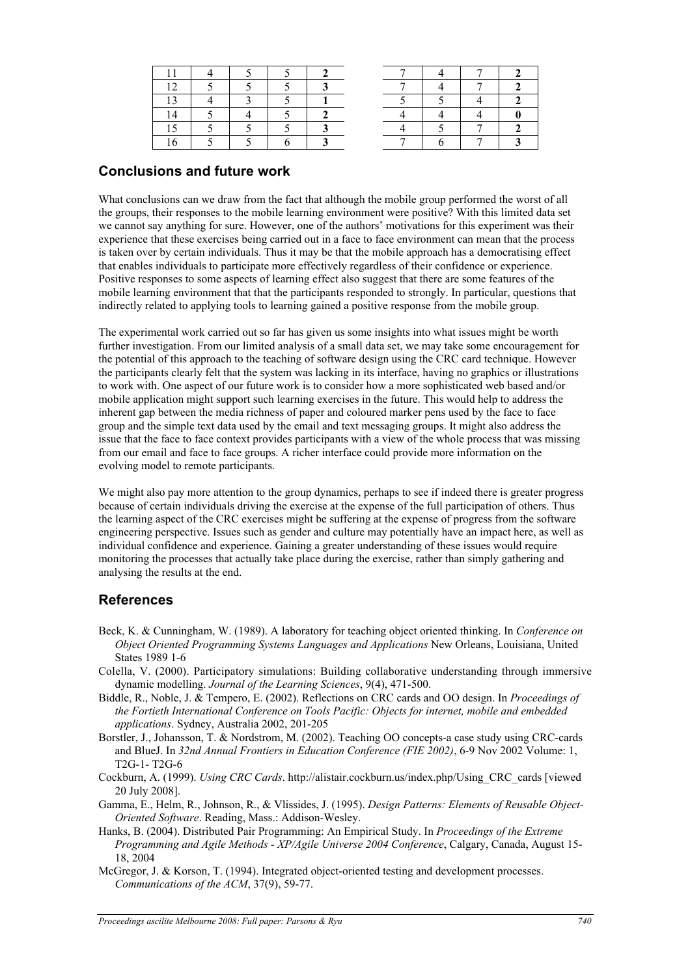### **Conclusions and future work**

What conclusions can we draw from the fact that although the mobile group performed the worst of all the groups, their responses to the mobile learning environment were positive? With this limited data set we cannot say anything for sure. However, one of the authors' motivations for this experiment was their experience that these exercises being carried out in a face to face environment can mean that the process is taken over by certain individuals. Thus it may be that the mobile approach has a democratising effect that enables individuals to participate more effectively regardless of their confidence or experience. Positive responses to some aspects of learning effect also suggest that there are some features of the mobile learning environment that that the participants responded to strongly. In particular, questions that indirectly related to applying tools to learning gained a positive response from the mobile group.

The experimental work carried out so far has given us some insights into what issues might be worth further investigation. From our limited analysis of a small data set, we may take some encouragement for the potential of this approach to the teaching of software design using the CRC card technique. However the participants clearly felt that the system was lacking in its interface, having no graphics or illustrations to work with. One aspect of our future work is to consider how a more sophisticated web based and/or mobile application might support such learning exercises in the future. This would help to address the inherent gap between the media richness of paper and coloured marker pens used by the face to face group and the simple text data used by the email and text messaging groups. It might also address the issue that the face to face context provides participants with a view of the whole process that was missing from our email and face to face groups. A richer interface could provide more information on the evolving model to remote participants.

We might also pay more attention to the group dynamics, perhaps to see if indeed there is greater progress because of certain individuals driving the exercise at the expense of the full participation of others. Thus the learning aspect of the CRC exercises might be suffering at the expense of progress from the software engineering perspective. Issues such as gender and culture may potentially have an impact here, as well as individual confidence and experience. Gaining a greater understanding of these issues would require monitoring the processes that actually take place during the exercise, rather than simply gathering and analysing the results at the end.

## **References**

- Beck, K. & Cunningham, W. (1989). A laboratory for teaching object oriented thinking. In *Conference on Object Oriented Programming Systems Languages and Applications* New Orleans, Louisiana, United States 1989 1-6
- Colella, V. (2000). Participatory simulations: Building collaborative understanding through immersive dynamic modelling. *Journal of the Learning Sciences*, 9(4), 471-500.
- Biddle, R., Noble, J. & Tempero, E. (2002). Reflections on CRC cards and OO design. In *Proceedings of the Fortieth International Conference on Tools Pacific: Objects for internet, mobile and embedded applications*. Sydney, Australia 2002, 201-205
- Borstler, J., Johansson, T. & Nordstrom, M. (2002). Teaching OO concepts-a case study using CRC-cards and BlueJ. In *32nd Annual Frontiers in Education Conference (FIE 2002)*, 6-9 Nov 2002 Volume: 1, T2G-1- T2G-6
- Cockburn, A. (1999). *Using CRC Cards*. http://alistair.cockburn.us/index.php/Using\_CRC\_cards [viewed 20 July 2008].
- Gamma, E., Helm, R., Johnson, R., & Vlissides, J. (1995). *Design Patterns: Elements of Reusable Object-Oriented Software*. Reading, Mass.: Addison-Wesley.
- Hanks, B. (2004). Distributed Pair Programming: An Empirical Study. In *Proceedings of the Extreme Programming and Agile Methods - XP/Agile Universe 2004 Conference*, Calgary, Canada, August 15- 18, 2004
- McGregor, J. & Korson, T. (1994). Integrated object-oriented testing and development processes. *Communications of the ACM*, 37(9), 59-77.